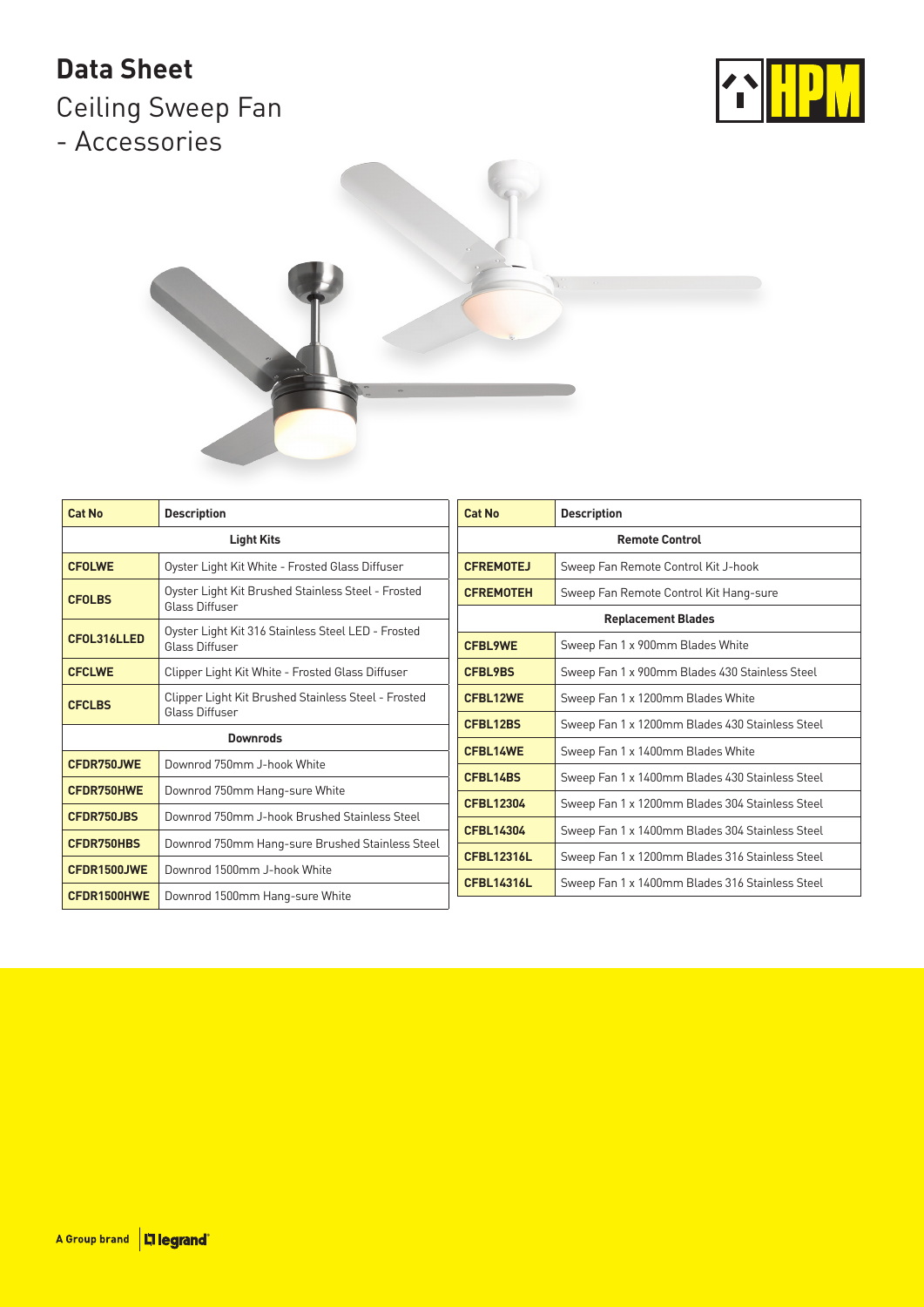## **Data Sheet**

Ceiling Sweep Fan - Accessories





| <b>Cat No</b>     | <b>Description</b>                                                    | <b>Cat No</b>                                                                                                             | <b>Description</b>                              |
|-------------------|-----------------------------------------------------------------------|---------------------------------------------------------------------------------------------------------------------------|-------------------------------------------------|
|                   | <b>Light Kits</b>                                                     | <b>Remote Control</b>                                                                                                     |                                                 |
| <b>CFOLWE</b>     | Oyster Light Kit White - Frosted Glass Diffuser                       | <b>CFREMOTEJ</b>                                                                                                          | Sweep Fan Remote Control Kit J-hook             |
| <b>CFOLBS</b>     | Oyster Light Kit Brushed Stainless Steel - Frosted<br>Glass Diffuser  | <b>CFREMOTEH</b>                                                                                                          | Sweep Fan Remote Control Kit Hang-sure          |
|                   |                                                                       |                                                                                                                           | <b>Replacement Blades</b>                       |
| CFOL316LLED       | Oyster Light Kit 316 Stainless Steel LED - Frosted<br>Glass Diffuser  | <b>CFBL9WE</b>                                                                                                            | Sweep Fan 1 x 900mm Blades White                |
| <b>CFCLWE</b>     | Clipper Light Kit White - Frosted Glass Diffuser                      | <b>CFBL9BS</b>                                                                                                            | Sweep Fan 1 x 900mm Blades 430 Stainless Steel  |
| <b>CFCLBS</b>     | Clipper Light Kit Brushed Stainless Steel - Frosted<br>Glass Diffuser | <b>CFBL12WE</b>                                                                                                           | Sweep Fan 1 x 1200mm Blades White               |
|                   |                                                                       | <b>CFBL12BS</b><br>CFBL14WE<br>CFBL14BS<br><b>CFBL12304</b><br><b>CFBL14304</b><br><b>CFBL12316L</b><br><b>CFBL14316L</b> | Sweep Fan 1 x 1200mm Blades 430 Stainless Steel |
|                   | <b>Downrods</b>                                                       |                                                                                                                           | Sweep Fan 1 x 1400mm Blades White               |
| CFDR750JWE        | Downrod 750mm J-hook White                                            |                                                                                                                           | Sweep Fan 1 x 1400mm Blades 430 Stainless Steel |
| <b>CFDR750HWE</b> | Downrod 750mm Hang-sure White                                         |                                                                                                                           |                                                 |
| <b>CFDR750JBS</b> | Downrod 750mm J-hook Brushed Stainless Steel                          |                                                                                                                           | Sweep Fan 1 x 1200mm Blades 304 Stainless Steel |
|                   |                                                                       |                                                                                                                           | Sweep Fan 1 x 1400mm Blades 304 Stainless Steel |
| <b>CFDR750HBS</b> | Downrod 750mm Hang-sure Brushed Stainless Steel                       |                                                                                                                           | Sweep Fan 1 x 1200mm Blades 316 Stainless Steel |
| CFDR1500JWE       | Downrod 1500mm J-hook White                                           |                                                                                                                           |                                                 |
| CFDR1500HWE       | Downrod 1500mm Hang-sure White                                        |                                                                                                                           | Sweep Fan 1 x 1400mm Blades 316 Stainless Steel |
|                   |                                                                       |                                                                                                                           |                                                 |